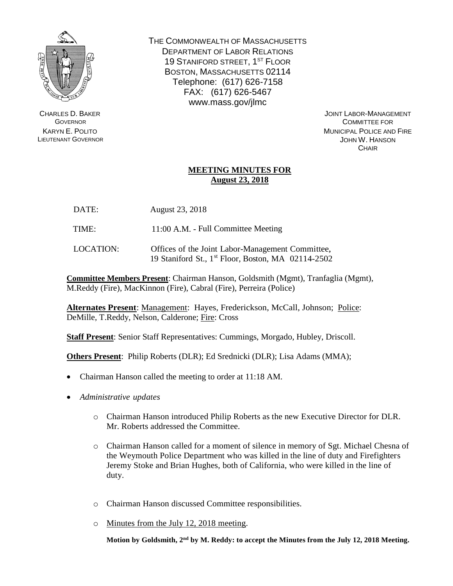

CHARLES D. BAKER **GOVERNOR** KARYN E. POLITO LIEUTENANT GOVERNOR THE COMMONWEALTH OF MASSACHUSETTS DEPARTMENT OF LABOR RELATIONS 19 STANIFORD STREET, 1<sup>ST</sup> FLOOR BOSTON, MASSACHUSETTS 02114 Telephone: (617) 626-7158 FAX: (617) 626-5467 www.mass.gov/jlmc

> JOINT LABOR-MANAGEMENT COMMITTEE FOR MUNICIPAL POLICE AND FIRE JOHN W. HANSON **CHAIR**

## **MEETING MINUTES FOR August 23, 2018**

- DATE: August 23, 2018
- TIME: 11:00 A.M. Full Committee Meeting
- LOCATION: Offices of the Joint Labor-Management Committee, 19 Staniford St., 1 st Floor, Boston, MA 02114-2502

**Committee Members Present**: Chairman Hanson, Goldsmith (Mgmt), Tranfaglia (Mgmt), M.Reddy (Fire), MacKinnon (Fire), Cabral (Fire), Perreira (Police)

**Alternates Present**: Management: Hayes, Frederickson, McCall, Johnson; Police: DeMille, T.Reddy, Nelson, Calderone; Fire: Cross

**Staff Present**: Senior Staff Representatives: Cummings, Morgado, Hubley, Driscoll.

**Others Present**: Philip Roberts (DLR); Ed Srednicki (DLR); Lisa Adams (MMA);

- Chairman Hanson called the meeting to order at 11:18 AM.
- *Administrative updates*
	- o Chairman Hanson introduced Philip Roberts as the new Executive Director for DLR. Mr. Roberts addressed the Committee.
	- o Chairman Hanson called for a moment of silence in memory of Sgt. Michael Chesna of the Weymouth Police Department who was killed in the line of duty and Firefighters Jeremy Stoke and Brian Hughes, both of California, who were killed in the line of duty.
	- o Chairman Hanson discussed Committee responsibilities.
	- o Minutes from the July 12, 2018 meeting.

Motion by Goldsmith, 2<sup>nd</sup> by M. Reddy: to accept the Minutes from the July 12, 2018 Meeting.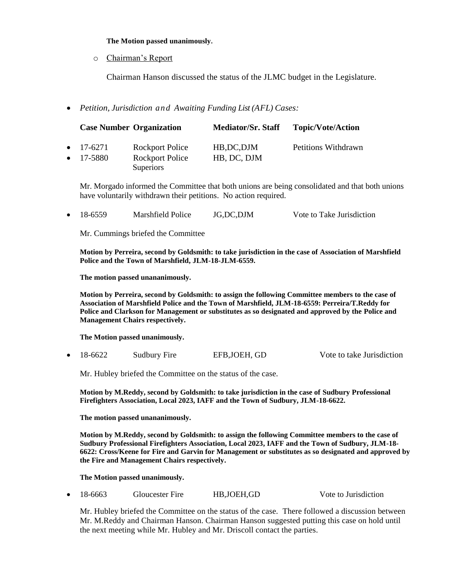## **The Motion passed unanimously.**

o Chairman's Report

Chairman Hanson discussed the status of the JLMC budget in the Legislature.

*Petition, Jurisdiction and Awaiting Funding List (AFL) Cases:*

|                                        | <b>Case Number Organization</b>                        | <b>Mediator/Sr. Staff</b>  | <b>Topic/Vote/Action</b> |
|----------------------------------------|--------------------------------------------------------|----------------------------|--------------------------|
| $\bullet$ 17-6271<br>$\bullet$ 17-5880 | Rockport Police<br>Rockport Police<br><b>Superiors</b> | HB, DC, DJM<br>HB, DC, DJM | Petitions Withdrawn      |

Mr. Morgado informed the Committee that both unions are being consolidated and that both unions have voluntarily withdrawn their petitions. No action required.

• 18-6559 Marshfield Police JG,DC,DJM Vote to Take Jurisdiction

Mr. Cummings briefed the Committee

**Motion by Perreira, second by Goldsmith: to take jurisdiction in the case of Association of Marshfield Police and the Town of Marshfield, JLM-18-JLM-6559.** 

**The motion passed unananimously.** 

**Motion by Perreira, second by Goldsmith: to assign the following Committee members to the case of Association of Marshfield Police and the Town of Marshfield, JLM-18-6559: Perreira/T.Reddy for Police and Clarkson for Management or substitutes as so designated and approved by the Police and Management Chairs respectively.** 

**The Motion passed unanimously.**

18-6622 Sudbury Fire EFB,JOEH, GD Vote to take Jurisdiction

Mr. Hubley briefed the Committee on the status of the case.

**Motion by M.Reddy, second by Goldsmith: to take jurisdiction in the case of Sudbury Professional Firefighters Association, Local 2023, IAFF and the Town of Sudbury, JLM-18-6622.**

**The motion passed unananimously.** 

**Motion by M.Reddy, second by Goldsmith: to assign the following Committee members to the case of Sudbury Professional Firefighters Association, Local 2023, IAFF and the Town of Sudbury, JLM-18- 6622: Cross/Keene for Fire and Garvin for Management or substitutes as so designated and approved by the Fire and Management Chairs respectively.**

**The Motion passed unanimously.**

18-6663 Gloucester Fire HB,JOEH,GD Vote to Jurisdiction

Mr. Hubley briefed the Committee on the status of the case. There followed a discussion between Mr. M.Reddy and Chairman Hanson. Chairman Hanson suggested putting this case on hold until the next meeting while Mr. Hubley and Mr. Driscoll contact the parties.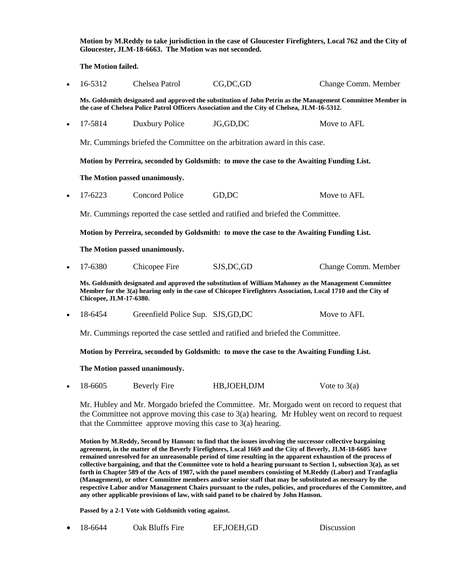**Motion by M.Reddy to take jurisdiction in the case of Gloucester Firefighters, Local 762 and the City of Gloucester, JLM-18-6663. The Motion was not seconded.**

**The Motion failed.**

| $\bullet$ | 16-5312                                                                                                                                                                                                                                          | Chelsea Patrol                     | CG, DC, GD    | Change Comm. Member |  |  |  |  |
|-----------|--------------------------------------------------------------------------------------------------------------------------------------------------------------------------------------------------------------------------------------------------|------------------------------------|---------------|---------------------|--|--|--|--|
|           | Ms. Goldsmith designated and approved the substitution of John Petrin as the Management Committee Member in<br>the case of Chelsea Police Patrol Officers Association and the City of Chelsea, JLM-16-5312.                                      |                                    |               |                     |  |  |  |  |
| $\bullet$ | 17-5814                                                                                                                                                                                                                                          | Duxbury Police                     | JG,GD,DC      | Move to AFL         |  |  |  |  |
|           | Mr. Cummings briefed the Committee on the arbitration award in this case.                                                                                                                                                                        |                                    |               |                     |  |  |  |  |
|           | Motion by Perreira, seconded by Goldsmith: to move the case to the Awaiting Funding List.                                                                                                                                                        |                                    |               |                     |  |  |  |  |
|           | The Motion passed unanimously.                                                                                                                                                                                                                   |                                    |               |                     |  |  |  |  |
| $\bullet$ | 17-6223                                                                                                                                                                                                                                          | <b>Concord Police</b>              | GD,DC         | Move to AFL         |  |  |  |  |
|           | Mr. Cummings reported the case settled and ratified and briefed the Committee.                                                                                                                                                                   |                                    |               |                     |  |  |  |  |
|           | Motion by Perreira, seconded by Goldsmith: to move the case to the Awaiting Funding List.                                                                                                                                                        |                                    |               |                     |  |  |  |  |
|           | The Motion passed unanimously.                                                                                                                                                                                                                   |                                    |               |                     |  |  |  |  |
| $\bullet$ | 17-6380                                                                                                                                                                                                                                          | Chicopee Fire                      | SJS, DC, GD   | Change Comm. Member |  |  |  |  |
|           | Ms. Goldsmith designated and approved the substitution of William Mahoney as the Management Committee<br>Member for the 3(a) hearing only in the case of Chicopee Firefighters Association, Local 1710 and the City of<br>Chicopee, JLM-17-6380. |                                    |               |                     |  |  |  |  |
| $\bullet$ | 18-6454                                                                                                                                                                                                                                          | Greenfield Police Sup. SJS, GD, DC |               | Move to AFL         |  |  |  |  |
|           | Mr. Cummings reported the case settled and ratified and briefed the Committee.                                                                                                                                                                   |                                    |               |                     |  |  |  |  |
|           | Motion by Perreira, seconded by Goldsmith: to move the case to the Awaiting Funding List.                                                                                                                                                        |                                    |               |                     |  |  |  |  |
|           | The Motion passed unanimously.                                                                                                                                                                                                                   |                                    |               |                     |  |  |  |  |
| $\bullet$ | 18-6605                                                                                                                                                                                                                                          | <b>Beverly Fire</b>                | HB, JOEH, DJM | Vote to $3(a)$      |  |  |  |  |
|           |                                                                                                                                                                                                                                                  |                                    |               |                     |  |  |  |  |

Mr. Hubley and Mr. Morgado briefed the Committee. Mr. Morgado went on record to request that the Committee not approve moving this case to 3(a) hearing. Mr Hubley went on record to request that the Committee approve moving this case to 3(a) hearing.

**Motion by M.Reddy, Second by Hanson: to find that the issues involving the successor collective bargaining agreement, in the matter of the Beverly Firefighters, Local 1669 and the City of Beverly, JLM-18-6605 have remained unresolved for an unreasonable period of time resulting in the apparent exhaustion of the process of collective bargaining, and that the Committee vote to hold a hearing pursuant to Section 1, subsection 3(a), as set forth in Chapter 589 of the Acts of 1987, with the panel members consisting of M.Reddy (Labor) and Tranfaglia (Management), or other Committee members and/or senior staff that may be substituted as necessary by the respective Labor and/or Management Chairs pursuant to the rules, policies, and procedures of the Committee, and any other applicable provisions of law, with said panel to be chaired by John Hanson.**

**Passed by a 2-1 Vote with Goldsmith voting against.**

|  | 18-6644 | Oak Bluffs Fire | EF,JOEH,GD | Discussion |
|--|---------|-----------------|------------|------------|
|--|---------|-----------------|------------|------------|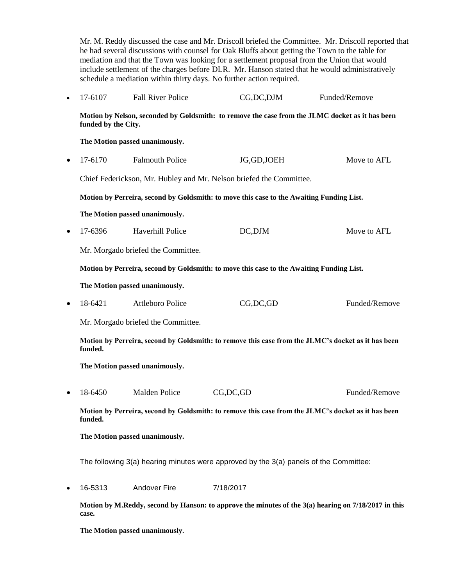Mr. M. Reddy discussed the case and Mr. Driscoll briefed the Committee. Mr. Driscoll reported that he had several discussions with counsel for Oak Bluffs about getting the Town to the table for mediation and that the Town was looking for a settlement proposal from the Union that would include settlement of the charges before DLR. Mr. Hanson stated that he would administratively schedule a mediation within thirty days. No further action required. • 17-6107 Fall River Police CG,DC,DJM Funded/Remove **Motion by Nelson, seconded by Goldsmith: to remove the case from the JLMC docket as it has been funded by the City. The Motion passed unanimously.** 17-6170 Falmouth Police JG,GD,JOEH Move to AFL Chief Federickson, Mr. Hubley and Mr. Nelson briefed the Committee. **Motion by Perreira, second by Goldsmith: to move this case to the Awaiting Funding List. The Motion passed unanimously.** • 17-6396 Haverhill Police **DC,DJM** Move to AFL Mr. Morgado briefed the Committee. **Motion by Perreira, second by Goldsmith: to move this case to the Awaiting Funding List. The Motion passed unanimously.** • 18-6421 Attleboro Police CG,DC,GD Funded/Remove Mr. Morgado briefed the Committee. **Motion by Perreira, second by Goldsmith: to remove this case from the JLMC's docket as it has been funded. The Motion passed unanimously.** 18-6450 Malden Police CG,DC,GD Funded/Remove **Motion by Perreira, second by Goldsmith: to remove this case from the JLMC's docket as it has been funded. The Motion passed unanimously.** The following 3(a) hearing minutes were approved by the 3(a) panels of the Committee: 16-5313 Andover Fire 7/18/2017 **Motion by M.Reddy, second by Hanson: to approve the minutes of the 3(a) hearing on 7/18/2017 in this case.**

**The Motion passed unanimously.**